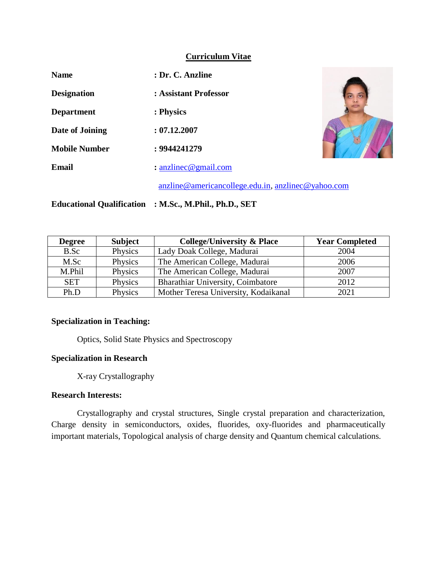#### **Curriculum Vitae**

| <b>Name</b>          | : Dr. C. Anzline                                                                       |  |  |
|----------------------|----------------------------------------------------------------------------------------|--|--|
| <b>Designation</b>   | : Assistant Professor                                                                  |  |  |
| <b>Department</b>    | : Physics                                                                              |  |  |
| Date of Joining      | : 07.12.2007                                                                           |  |  |
| <b>Mobile Number</b> | : 9944241279                                                                           |  |  |
| Email                | : $anzline @ gmail.com$                                                                |  |  |
|                      | $anzline @ \text{americ} \text{an} \text{c}$ lege.edu.in, $anzline @ \text{yahoo.com}$ |  |  |

**Educational Qualification : M.Sc., M.Phil., Ph.D., SET**

| <b>Degree</b> | <b>Subject</b> | <b>College/University &amp; Place</b> | <b>Year Completed</b> |
|---------------|----------------|---------------------------------------|-----------------------|
| B.Sc          | Physics        | Lady Doak College, Madurai            | 2004                  |
| M.Sc          | Physics        | The American College, Madurai         | 2006                  |
| M.Phil        | Physics        | The American College, Madurai         | 2007                  |
| <b>SET</b>    | Physics        | Bharathiar University, Coimbatore     | 2012                  |
| Ph.D          | Physics        | Mother Teresa University, Kodaikanal  | 2021                  |

## **Specialization in Teaching:**

Optics, Solid State Physics and Spectroscopy

## **Specialization in Research**

X-ray Crystallography

#### **Research Interests:**

Crystallography and crystal structures, Single crystal preparation and characterization, Charge density in semiconductors, oxides, fluorides, oxy-fluorides and pharmaceutically important materials, Topological analysis of charge density and Quantum chemical calculations.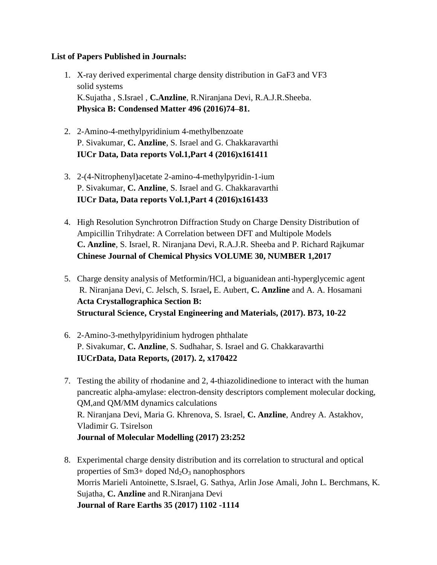### **List of Papers Published in Journals:**

- 1. X-ray derived experimental charge density distribution in GaF3 and VF3 solid systems K.Sujatha , S.Israel , **C.Anzline**, R.Niranjana Devi, R.A.J.R.Sheeba. **Physica B: Condensed Matter 496 (2016)74–81.**
- 2. 2-Amino-4-methylpyridinium 4-methylbenzoate P. Sivakumar, **C. Anzline**, S. Israel and G. Chakkaravarthi **IUCr Data, Data reports Vol.1,Part 4 (2016)x161411**
- 3. 2-(4-Nitrophenyl)acetate 2-amino-4-methylpyridin-1-ium P. Sivakumar, **C. Anzline**, S. Israel and G. Chakkaravarthi **IUCr Data, Data reports Vol.1,Part 4 (2016)x161433**
- 4. High Resolution Synchrotron Diffraction Study on Charge Density Distribution of Ampicillin Trihydrate: A Correlation between DFT and Multipole Models **C. Anzline**, S. Israel, R. Niranjana Devi, R.A.J.R. Sheeba and P. Richard Rajkumar **Chinese Journal of Chemical Physics VOLUME 30, NUMBER 1,2017**
- 5. Charge density analysis of Metformin/HCl, a biguanidean anti-hyperglycemic agent R. Niranjana Devi, C. Jelsch, S. Israel**,** E. Aubert, **C. Anzline** and A. A. Hosamani **Acta Crystallographica Section B: Structural Science, Crystal Engineering and Materials, (2017). B73, 10-22**
- 6. 2-Amino-3-methylpyridinium hydrogen phthalate P. Sivakumar, **C. Anzline**, S. Sudhahar, S. Israel and G. Chakkaravarthi **IUCrData, Data Reports, (2017). 2, x170422**
- 7. Testing the ability of rhodanine and 2, 4-thiazolidinedione to interact with the human pancreatic alpha-amylase: electron-density descriptors complement molecular docking, QM,and QM/MM dynamics calculations R. Niranjana Devi, Maria G. Khrenova, S. Israel, **C. Anzline**, Andrey A. Astakhov, Vladimir G. Tsirelson **Journal of Molecular Modelling (2017) 23:252**
- 8. Experimental charge density distribution and its correlation to structural and optical properties of  $Sm3+$  doped  $Nd_2O_3$  nanophosphors Morris Marieli Antoinette, S.Israel, G. Sathya, Arlin Jose Amali, John L. Berchmans, K. Sujatha, **C. Anzline** and R.Niranjana Devi **Journal of Rare Earths 35 (2017) 1102 -1114**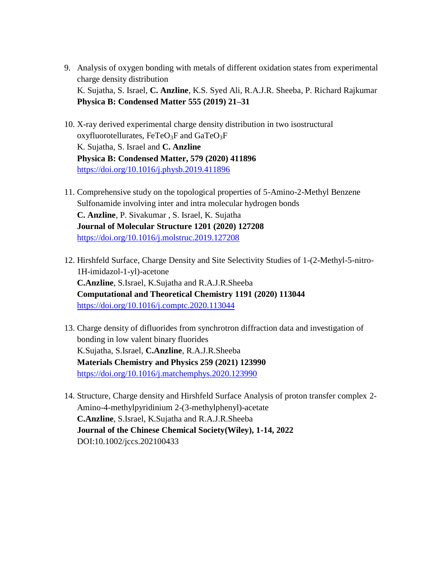- 9. Analysis of oxygen bonding with metals of different oxidation states from experimental charge density distribution K. Sujatha, S. Israel, **C. Anzline**, K.S. Syed Ali, R.A.J.R. Sheeba, P. Richard Rajkumar **Physica B: Condensed Matter 555 (2019) 21–31**
- 10. X-ray derived experimental charge density distribution in two isostructural oxyfluorotellurates,  $FeTeO<sub>3</sub>F$  and  $GaTeO<sub>3</sub>F$ K. Sujatha, S. Israel and **C. Anzline Physica B: Condensed Matter, 579 (2020) 411896** <https://doi.org/10.1016/j.physb.2019.411896>
- 11. Comprehensive study on the topological properties of 5-Amino-2-Methyl Benzene Sulfonamide involving inter and intra molecular hydrogen bonds **C. Anzline**, P. Sivakumar , S. Israel, K. Sujatha **Journal of Molecular Structure 1201 (2020) 127208** <https://doi.org/10.1016/j.molstruc.2019.127208>
- 12. Hirshfeld Surface, Charge Density and Site Selectivity Studies of 1-(2-Methyl-5-nitro-1H-imidazol-1-yl)-acetone **C.Anzline**, S.Israel, K.Sujatha and R.A.J.R.Sheeba **Computational and Theoretical Chemistry 1191 (2020) 113044** <https://doi.org/10.1016/j.comptc.2020.113044>
- 13. Charge density of difluorides from synchrotron diffraction data and investigation of bonding in low valent binary fluorides K.Sujatha, S.Israel, **C.Anzline**, R.A.J.R.Sheeba **Materials Chemistry and Physics 259 (2021) 123990** <https://doi.org/10.1016/j.matchemphys.2020.123990>
- 14. Structure, Charge density and Hirshfeld Surface Analysis of proton transfer complex 2- Amino-4-methylpyridinium 2-(3-methylphenyl)-acetate **C.Anzline**, S.Israel, K.Sujatha and R.A.J.R.Sheeba **Journal of the Chinese Chemical Society(Wiley), 1-14, 2022** DOI:10.1002/jccs.202100433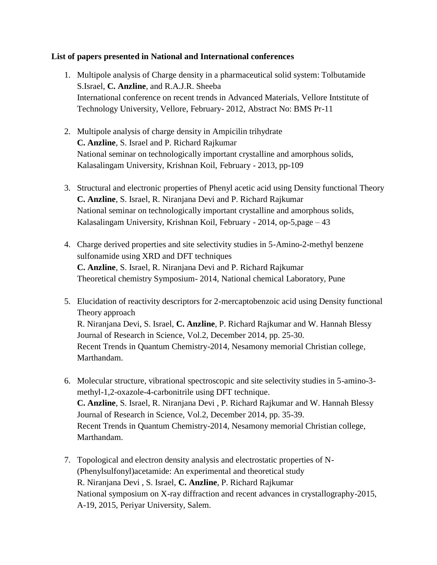### **List of papers presented in National and International conferences**

- 1. Multipole analysis of Charge density in a pharmaceutical solid system: Tolbutamide S.Israel, **C. Anzline**, and R.A.J.R. Sheeba International conference on recent trends in Advanced Materials, Vellore Intstitute of Technology University, Vellore, February- 2012, Abstract No: BMS Pr-11
- 2. Multipole analysis of charge density in Ampicilin trihydrate **C. Anzline**, S. Israel and P. Richard Rajkumar National seminar on technologically important crystalline and amorphous solids, Kalasalingam University, Krishnan Koil, February - 2013, pp-109
- 3. Structural and electronic properties of Phenyl acetic acid using Density functional Theory **C. Anzline**, S. Israel, R. Niranjana Devi and P. Richard Rajkumar National seminar on technologically important crystalline and amorphous solids, Kalasalingam University, Krishnan Koil, February - 2014, op-5,page – 43
- 4. Charge derived properties and site selectivity studies in 5-Amino-2-methyl benzene sulfonamide using XRD and DFT techniques **C. Anzline**, S. Israel, R. Niranjana Devi and P. Richard Rajkumar Theoretical chemistry Symposium- 2014, National chemical Laboratory, Pune
- 5. Elucidation of reactivity descriptors for 2-mercaptobenzoic acid using Density functional Theory approach R. Niranjana Devi, S. Israel, **C. Anzline**, P. Richard Rajkumar and W. Hannah Blessy Journal of Research in Science, Vol.2, December 2014, pp. 25-30. Recent Trends in Quantum Chemistry-2014, Nesamony memorial Christian college, Marthandam.
- 6. Molecular structure, vibrational spectroscopic and site selectivity studies in 5-amino-3 methyl-1,2-oxazole-4-carbonitrile using DFT technique. **C. Anzline**, S. Israel, R. Niranjana Devi , P. Richard Rajkumar and W. Hannah Blessy Journal of Research in Science, Vol.2, December 2014, pp. 35-39. Recent Trends in Quantum Chemistry-2014, Nesamony memorial Christian college, Marthandam.
- 7. Topological and electron density analysis and electrostatic properties of N- (Phenylsulfonyl)acetamide: An experimental and theoretical study R. Niranjana Devi , S. Israel, **C. Anzline**, P. Richard Rajkumar National symposium on X-ray diffraction and recent advances in crystallography-2015, A-19, 2015, Periyar University, Salem.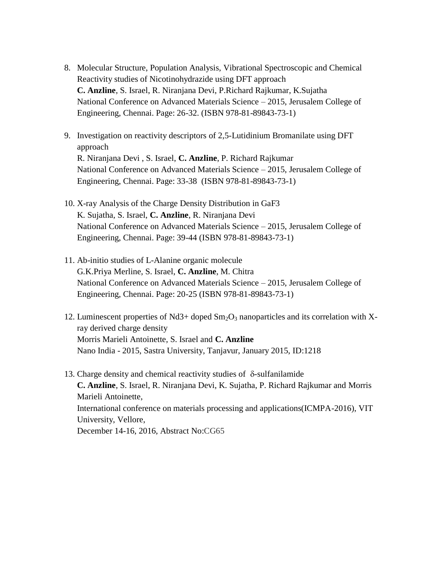- 8. Molecular Structure, Population Analysis, Vibrational Spectroscopic and Chemical Reactivity studies of Nicotinohydrazide using DFT approach **C. Anzline**, S. Israel, R. Niranjana Devi, P.Richard Rajkumar, K.Sujatha National Conference on Advanced Materials Science – 2015, Jerusalem College of Engineering, Chennai. Page: 26-32. (ISBN 978-81-89843-73-1)
- 9. Investigation on reactivity descriptors of 2,5-Lutidinium Bromanilate using DFT approach R. Niranjana Devi , S. Israel, **C. Anzline**, P. Richard Rajkumar National Conference on Advanced Materials Science – 2015, Jerusalem College of Engineering, Chennai. Page: 33-38 (ISBN 978-81-89843-73-1)
- 10. X-ray Analysis of the Charge Density Distribution in GaF3 K. Sujatha, S. Israel, **C. Anzline**, R. Niranjana Devi National Conference on Advanced Materials Science – 2015, Jerusalem College of Engineering, Chennai. Page: 39-44 (ISBN 978-81-89843-73-1)
- 11. Ab-initio studies of L-Alanine organic molecule G.K.Priya Merline, S. Israel, **C. Anzline**, M. Chitra National Conference on Advanced Materials Science – 2015, Jerusalem College of Engineering, Chennai. Page: 20-25 (ISBN 978-81-89843-73-1)
- 12. Luminescent properties of Nd3+ doped  $Sm_2O_3$  nanoparticles and its correlation with Xray derived charge density Morris Marieli Antoinette, S. Israel and **C. Anzline** Nano India - 2015, Sastra University, Tanjavur, January 2015, ID:1218
- 13. Charge density and chemical reactivity studies of  $\delta$ -sulfanilamide **C. Anzline**, S. Israel, R. Niranjana Devi, K. Sujatha, P. Richard Rajkumar and Morris Marieli Antoinette, International conference on materials processing and applications(ICMPA-2016), VIT University, Vellore, December 14-16, 2016, Abstract No:CG65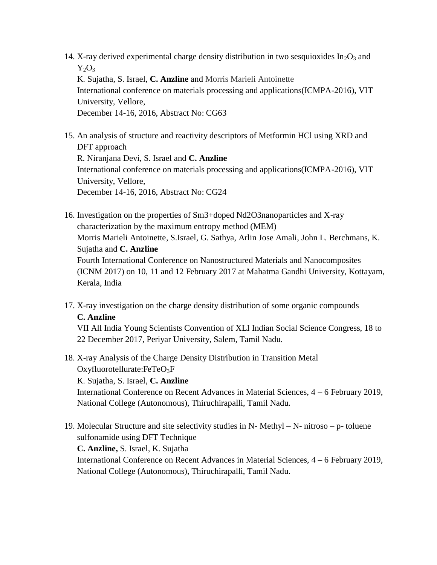- 14. X-ray derived experimental charge density distribution in two sesquioxides  $In_2O_3$  and  $Y_2O_3$ K. Sujatha, S. Israel, **C. Anzline** and Morris Marieli Antoinette International conference on materials processing and applications(ICMPA-2016), VIT University, Vellore, December 14-16, 2016, Abstract No: CG63
- 15. An analysis of structure and reactivity descriptors of Metformin HCl using XRD and DFT approach R. Niranjana Devi, S. Israel and **C. Anzline** International conference on materials processing and applications(ICMPA-2016), VIT University, Vellore, December 14-16, 2016, Abstract No: CG24
- 16. Investigation on the properties of Sm3+doped Nd2O3nanoparticles and X-ray characterization by the maximum entropy method (MEM) Morris Marieli Antoinette, S.Israel, G. Sathya, Arlin Jose Amali, John L. Berchmans, K. Sujatha and **C. Anzline** Fourth International Conference on Nanostructured Materials and Nanocomposites (ICNM 2017) on 10, 11 and 12 February 2017 at Mahatma Gandhi University, Kottayam, Kerala, India
- 17. X-ray investigation on the charge density distribution of some organic compounds **C. Anzline**

VII All India Young Scientists Convention of XLI Indian Social Science Congress, 18 to 22 December 2017, Periyar University, Salem, Tamil Nadu.

- 18. X-ray Analysis of the Charge Density Distribution in Transition Metal Oxyfluorotellurate: $FeTeO<sub>3</sub>F$ K. Sujatha, S. Israel, **C. Anzline** International Conference on Recent Advances in Material Sciences, 4 – 6 February 2019, National College (Autonomous), Thiruchirapalli, Tamil Nadu.
- 19. Molecular Structure and site selectivity studies in N- Methyl N- nitroso p- toluene sulfonamide using DFT Technique **C. Anzline,** S. Israel, K. Sujatha International Conference on Recent Advances in Material Sciences, 4 – 6 February 2019, National College (Autonomous), Thiruchirapalli, Tamil Nadu.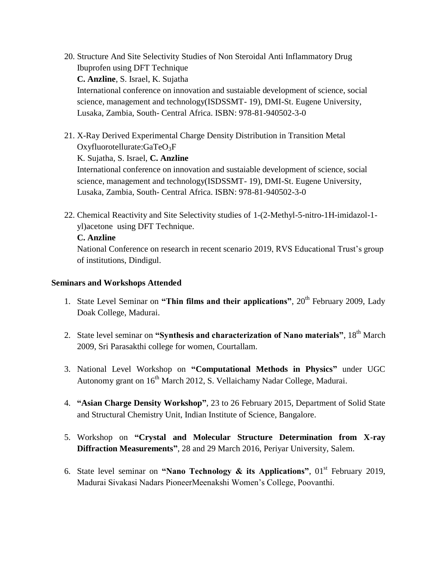- 20. Structure And Site Selectivity Studies of Non Steroidal Anti Inflammatory Drug Ibuprofen using DFT Technique **C. Anzline**, S. Israel, K. Sujatha International conference on innovation and sustaiable development of science, social science, management and technology(ISDSSMT- 19), DMI-St. Eugene University, Lusaka, Zambia, South- Central Africa. ISBN: 978-81-940502-3-0
- 21. X-Ray Derived Experimental Charge Density Distribution in Transition Metal Oxyfluorotellurate: $GaTeO<sub>3</sub>F$ K. Sujatha, S. Israel, **C. Anzline** International conference on innovation and sustaiable development of science, social science, management and technology(ISDSSMT- 19), DMI-St. Eugene University, Lusaka, Zambia, South- Central Africa. ISBN: 978-81-940502-3-0
- 22. Chemical Reactivity and Site Selectivity studies of 1-(2-Methyl-5-nitro-1H-imidazol-1 yl)acetone using DFT Technique.

# **C. Anzline**

National Conference on research in recent scenario 2019, RVS Educational Trust's group of institutions, Dindigul.

#### **Seminars and Workshops Attended**

- 1. State Level Seminar on **"Thin films and their applications"**, 20<sup>th</sup> February 2009, Lady Doak College, Madurai.
- 2. State level seminar on **"Synthesis and characterization of Nano materials"**, 18th March 2009, Sri Parasakthi college for women, Courtallam.
- 3. National Level Workshop on **"Computational Methods in Physics"** under UGC Autonomy grant on 16<sup>th</sup> March 2012, S. Vellaichamy Nadar College, Madurai.
- 4. **"Asian Charge Density Workshop"**, 23 to 26 February 2015, Department of Solid State and Structural Chemistry Unit, Indian Institute of Science, Bangalore.
- 5. Workshop on **"Crystal and Molecular Structure Determination from X-ray Diffraction Measurements"**, 28 and 29 March 2016, Periyar University, Salem.
- 6. State level seminar on **"Nano Technology & its Applications"**,  $01<sup>st</sup>$  February 2019, Madurai Sivakasi Nadars PioneerMeenakshi Women's College, Poovanthi.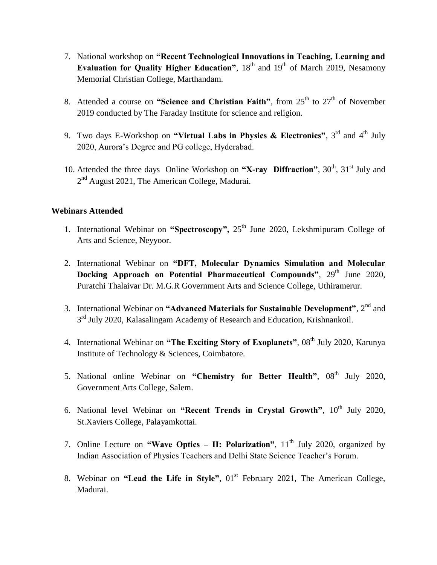- 7. National workshop on **"Recent Technological Innovations in Teaching, Learning and Evaluation for Quality Higher Education"**, 18<sup>th</sup> and 19<sup>th</sup> of March 2019, Nesamony Memorial Christian College, Marthandam.
- 8. Attended a course on "Science and Christian Faith", from 25<sup>th</sup> to 27<sup>th</sup> of November 2019 conducted by The Faraday Institute for science and religion.
- 9. Two days E-Workshop on "Virtual Labs in Physics & Electronics", 3<sup>rd</sup> and 4<sup>th</sup> July 2020, Aurora's Degree and PG college, Hyderabad.
- 10. Attended the three days Online Workshop on "X-ray Diffraction", 30<sup>th</sup>, 31<sup>st</sup> July and 2<sup>nd</sup> August 2021, The American College, Madurai.

## **Webinars Attended**

- 1. International Webinar on "Spectroscopy", 25<sup>th</sup> June 2020, Lekshmipuram College of Arts and Science, Neyyoor.
- 2. International Webinar on **"DFT, Molecular Dynamics Simulation and Molecular Docking Approach on Potential Pharmaceutical Compounds"**, 29<sup>th</sup> June 2020, Puratchi Thalaivar Dr. M.G.R Government Arts and Science College, Uthiramerur.
- 3. International Webinar on **"Advanced Materials for Sustainable Development"**, 2nd and 3<sup>rd</sup> July 2020, Kalasalingam Academy of Research and Education, Krishnankoil.
- 4. International Webinar on "The Exciting Story of Exoplanets", 08<sup>th</sup> July 2020, Karunya Institute of Technology & Sciences, Coimbatore.
- 5. National online Webinar on "Chemistry for Better Health", 08<sup>th</sup> July 2020, Government Arts College, Salem.
- 6. National level Webinar on "Recent Trends in Crystal Growth",  $10^{th}$  July 2020, St.Xaviers College, Palayamkottai.
- 7. Online Lecture on **"Wave Optics II: Polarization"**, 11<sup>th</sup> July 2020, organized by Indian Association of Physics Teachers and Delhi State Science Teacher's Forum.
- 8. Webinar on "Lead the Life in Style", 01<sup>st</sup> February 2021, The American College, Madurai.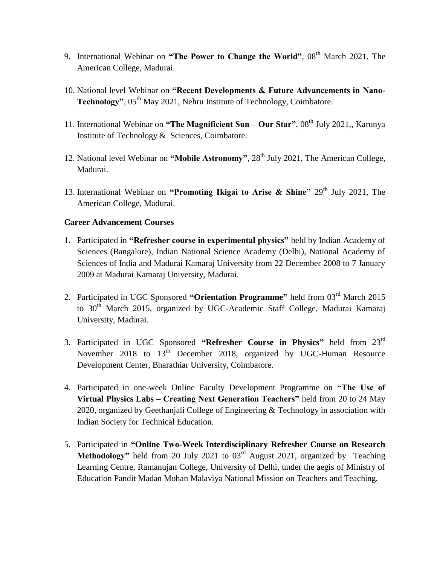- 9. International Webinar on "The Power to Change the World", 08<sup>th</sup> March 2021, The American College, Madurai.
- 10. National level Webinar on **"Recent Developments & Future Advancements in Nano-Technology"**, 05<sup>th</sup> May 2021, Nehru Institute of Technology, Coimbatore.
- 11. International Webinar on "The Magnificient Sun Our Star", 08<sup>th</sup> July 2021,, Karunya Institute of Technology & Sciences, Coimbatore.
- 12. National level Webinar on "Mobile Astronomy", 28<sup>th</sup> July 2021, The American College, Madurai.
- 13. International Webinar on "Promoting Ikigai to Arise & Shine" 29<sup>th</sup> July 2021, The American College, Madurai.

## **Career Advancement Courses**

- 1. Participated in **"Refresher course in experimental physics"** held by Indian Academy of Sciences (Bangalore), Indian National Science Academy (Delhi), National Academy of Sciences of India and Madurai Kamaraj University from 22 December 2008 to 7 January 2009 at Madurai Kamaraj University, Madurai.
- 2. Participated in UGC Sponsored **"Orientation Programme"** held from 03rd March 2015 to 30<sup>th</sup> March 2015, organized by UGC-Academic Staff College, Madurai Kamaraj University, Madurai.
- 3. Participated in UGC Sponsored **"Refresher Course in Physics"** held from 23rd November 2018 to 13<sup>th</sup> December 2018, organized by UGC-Human Resource Development Center, Bharathiar University, Coimbatore.
- 4. Participated in one-week Online Faculty Development Programme on **"The Use of Virtual Physics Labs – Creating Next Generation Teachers"** held from 20 to 24 May 2020, organized by Geethanjali College of Engineering & Technology in association with Indian Society for Technical Education.
- 5. Participated in **"Online Two-Week Interdisciplinary Refresher Course on Research Methodology**" held from 20 July 2021 to 03<sup>rd</sup> August 2021, organized by Teaching Learning Centre, Ramanujan College, University of Delhi, under the aegis of Ministry of Education Pandit Madan Mohan Malaviya National Mission on Teachers and Teaching.